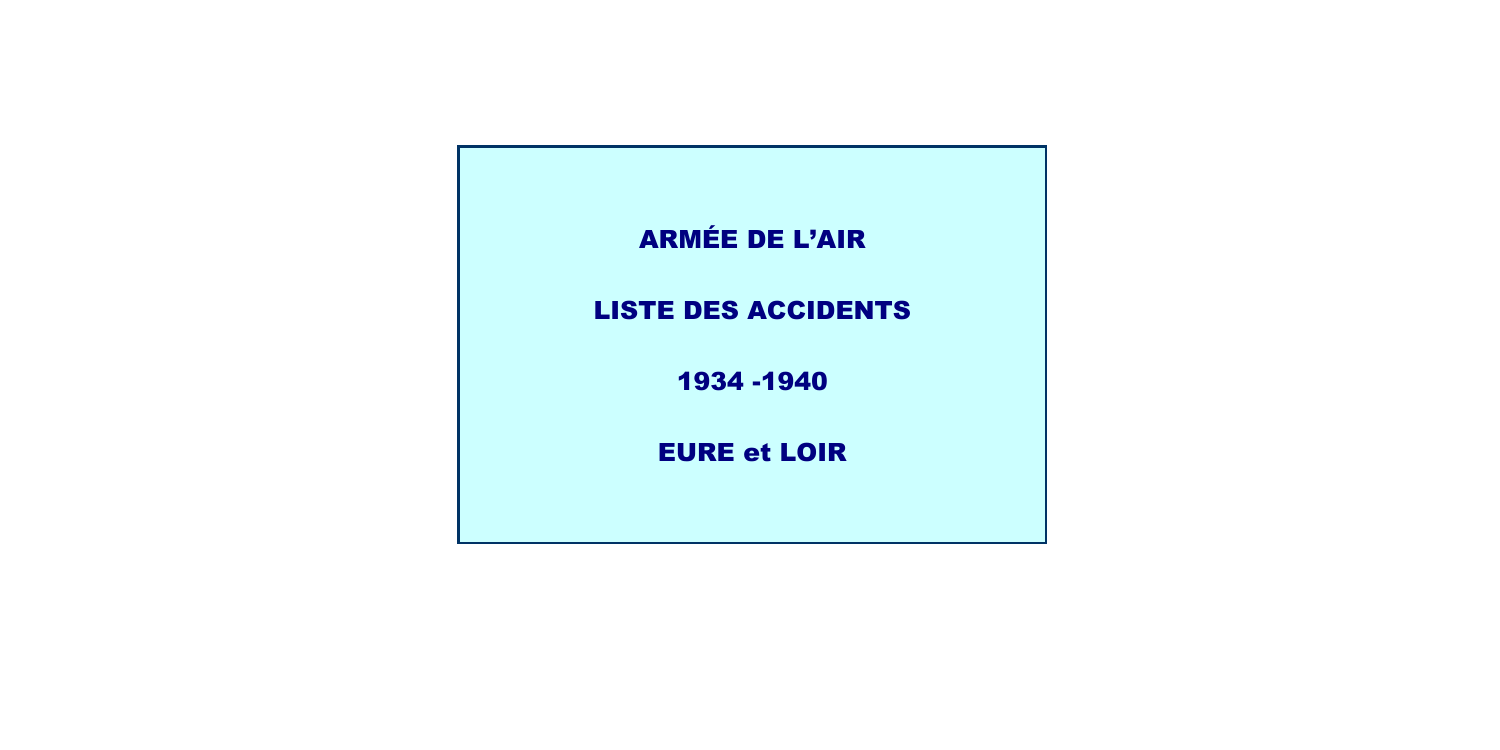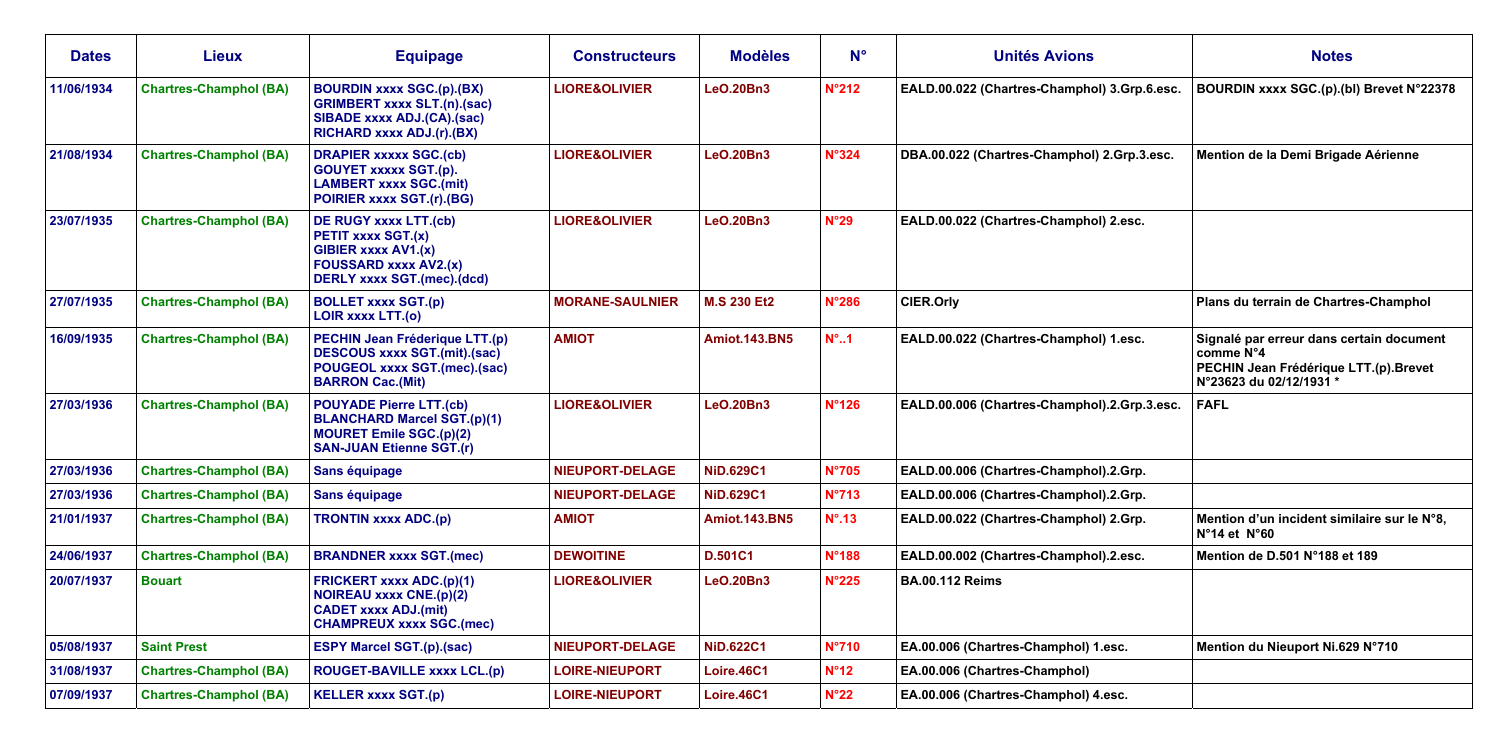| <b>Dates</b> | <b>Lieux</b>                  | <b>Equipage</b>                                                                                                                           | <b>Constructeurs</b>     | <b>Modèles</b>       | $N^{\circ}$     | <b>Unités Avions</b>                         | <b>Notes</b>                                                                                                              |
|--------------|-------------------------------|-------------------------------------------------------------------------------------------------------------------------------------------|--------------------------|----------------------|-----------------|----------------------------------------------|---------------------------------------------------------------------------------------------------------------------------|
| 11/06/1934   | <b>Chartres-Champhol (BA)</b> | <b>BOURDIN XXXX SGC.(p).(BX)</b><br><b>GRIMBERT xxxx SLT.(n).(sac)</b><br>SIBADE xxxx ADJ.(CA).(sac)<br>RICHARD xxxx ADJ.(r).(BX)         | <b>LIORE&amp;OLIVIER</b> | <b>LeO.20Bn3</b>     | N°212           | EALD.00.022 (Chartres-Champhol) 3.Grp.6.esc. | BOURDIN xxxx SGC.(p).(bl) Brevet N°22378                                                                                  |
| 21/08/1934   | <b>Chartres-Champhol (BA)</b> | <b>DRAPIER XXXXX SGC.(cb)</b><br><b>GOUYET xxxxx SGT.(p).</b><br><b>LAMBERT xxxx SGC.(mit)</b><br>POIRIER xxxx SGT.(r).(BG)               | <b>LIORE&amp;OLIVIER</b> | <b>LeO.20Bn3</b>     | <b>N°324</b>    | DBA.00.022 (Chartres-Champhol) 2.Grp.3.esc.  | Mention de la Demi Brigade Aérienne                                                                                       |
| 23/07/1935   | <b>Chartres-Champhol (BA)</b> | DE RUGY xxxx LTT.(cb)<br>PETIT xxxx SGT.(x)<br>GIBIER xxxx AV1.(x)<br><b>FOUSSARD xxxx AV2.(x)</b><br><b>DERLY xxxx SGT.(mec).(dcd)</b>   | <b>LIORE&amp;OLIVIER</b> | LeO.20Bn3            | N°29            | EALD.00.022 (Chartres-Champhol) 2.esc.       |                                                                                                                           |
| 27/07/1935   | <b>Chartres-Champhol (BA)</b> | <b>BOLLET xxxx SGT.(p)</b><br><b>LOIR XXXX LTT.(0)</b>                                                                                    | <b>MORANE-SAULNIER</b>   | <b>M.S 230 Et2</b>   | <b>N°286</b>    | <b>CIER.Orly</b>                             | Plans du terrain de Chartres-Champhol                                                                                     |
| 16/09/1935   | <b>Chartres-Champhol (BA)</b> | PECHIN Jean Fréderique LTT.(p)<br><b>DESCOUS xxxx SGT.(mit).(sac)</b><br>POUGEOL xxxx SGT.(mec).(sac)<br><b>BARRON Cac.(Mit)</b>          | <b>AMIOT</b>             | <b>Amiot.143.BN5</b> | $N^{\circ}$ 1   | EALD.00.022 (Chartres-Champhol) 1.esc.       | Signalé par erreur dans certain document<br>comme N°4<br>PECHIN Jean Frédérique LTT.(p).Brevet<br>N°23623 du 02/12/1931 * |
| 27/03/1936   | <b>Chartres-Champhol (BA)</b> | <b>POUYADE Pierre LTT.(cb)</b><br><b>BLANCHARD Marcel SGT.(p)(1)</b><br><b>MOURET Emile SGC.(p)(2)</b><br><b>SAN-JUAN Etienne SGT.(r)</b> | <b>LIORE&amp;OLIVIER</b> | <b>LeO.20Bn3</b>     | <b>N°126</b>    | EALD.00.006 (Chartres-Champhol).2.Grp.3.esc. | <b>FAFL</b>                                                                                                               |
| 27/03/1936   | <b>Chartres-Champhol (BA)</b> | Sans équipage                                                                                                                             | NIEUPORT-DELAGE          | <b>NiD.629C1</b>     | <b>N°705</b>    | EALD.00.006 (Chartres-Champhol).2.Grp.       |                                                                                                                           |
| 27/03/1936   | <b>Chartres-Champhol (BA)</b> | Sans équipage                                                                                                                             | <b>NIEUPORT-DELAGE</b>   | <b>NiD.629C1</b>     | <b>N°713</b>    | EALD.00.006 (Chartres-Champhol).2.Grp.       |                                                                                                                           |
| 21/01/1937   | <b>Chartres-Champhol (BA)</b> | <b>TRONTIN xxxx ADC.(p)</b>                                                                                                               | <b>AMIOT</b>             | <b>Amiot.143.BN5</b> | $N^{\circ}$ .13 | EALD.00.022 (Chartres-Champhol) 2.Grp.       | Mention d'un incident similaire sur le N°8,<br>$N^{\circ}$ 14 et $N^{\circ}$ 60                                           |
| 24/06/1937   | <b>Chartres-Champhol (BA)</b> | <b>BRANDNER xxxx SGT.(mec)</b>                                                                                                            | <b>DEWOITINE</b>         | <b>D.501C1</b>       | <b>N°188</b>    | EALD.00.002 (Chartres-Champhol).2.esc.       | Mention de D.501 N°188 et 189                                                                                             |
| 20/07/1937   | <b>Bouart</b>                 | <b>FRICKERT xxxx ADC.(p)(1)</b><br><b>NOIREAU xxxx CNE.(p)(2)</b><br><b>CADET xxxx ADJ.(mit)</b><br><b>CHAMPREUX xxxx SGC.(mec)</b>       | <b>LIORE&amp;OLIVIER</b> | <b>LeO.20Bn3</b>     | <b>N°225</b>    | <b>BA.00.112 Reims</b>                       |                                                                                                                           |
| 05/08/1937   | <b>Saint Prest</b>            | <b>ESPY Marcel SGT.(p).(sac)</b>                                                                                                          | <b>NIEUPORT-DELAGE</b>   | <b>NiD.622C1</b>     | $N^{\circ}710$  | EA.00.006 (Chartres-Champhol) 1.esc.         | Mention du Nieuport Ni.629 N°710                                                                                          |
| 31/08/1937   | <b>Chartres-Champhol (BA)</b> | <b>ROUGET-BAVILLE XXXX LCL.(p)</b>                                                                                                        | <b>LOIRE-NIEUPORT</b>    | Loire.46C1           | N°12            | EA.00.006 (Chartres-Champhol)                |                                                                                                                           |
| 07/09/1937   | <b>Chartres-Champhol (BA)</b> | <b>KELLER xxxx SGT.(p)</b>                                                                                                                | <b>LOIRE-NIEUPORT</b>    | Loire.46C1           | $N^{\circ}22$   | EA.00.006 (Chartres-Champhol) 4.esc.         |                                                                                                                           |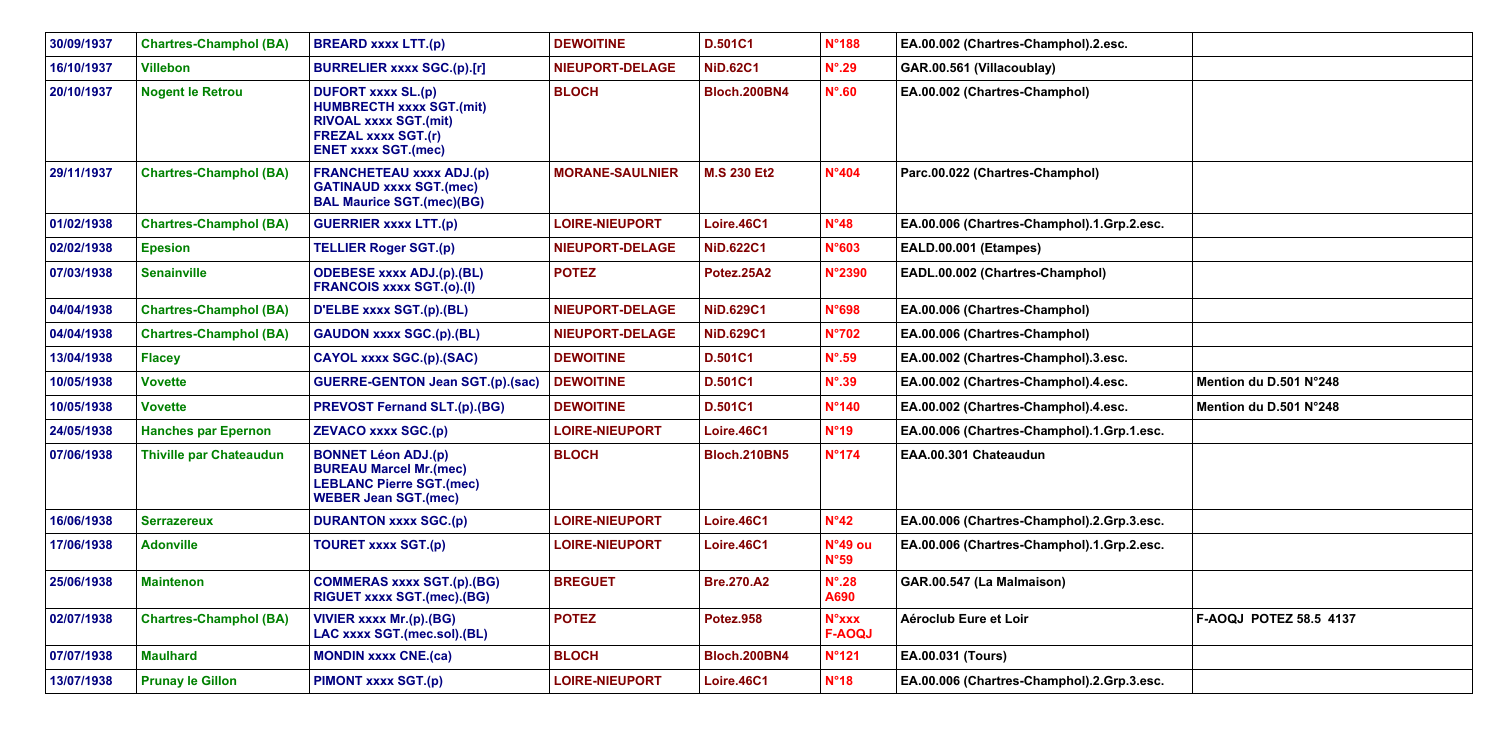| 30/09/1937 | <b>Chartres-Champhol (BA)</b>  | <b>BREARD xxxx LTT.(p)</b>                                                                                                                               | <b>DEWOITINE</b>       | <b>D.501C1</b>      | <b>N°188</b>                  | EA.00.002 (Chartres-Champhol).2.esc.       |                               |
|------------|--------------------------------|----------------------------------------------------------------------------------------------------------------------------------------------------------|------------------------|---------------------|-------------------------------|--------------------------------------------|-------------------------------|
| 16/10/1937 | <b>Villebon</b>                | <b>BURRELIER xxxx SGC.(p).[r]</b>                                                                                                                        | NIEUPORT-DELAGE        | <b>NiD.62C1</b>     | $N^{\circ}$ .29               | GAR.00.561 (Villacoublay)                  |                               |
| 20/10/1937 | <b>Nogent le Retrou</b>        | <b>DUFORT xxxx SL.(p)</b><br><b>HUMBRECTH xxxx SGT.(mit)</b><br><b>RIVOAL xxxx SGT.(mit)</b><br><b>FREZAL xxxx SGT.(r)</b><br><b>ENET xxxx SGT.(mec)</b> | <b>BLOCH</b>           | <b>Bloch.200BN4</b> | $N^{\circ}$ .60               | EA.00.002 (Chartres-Champhol)              |                               |
| 29/11/1937 | <b>Chartres-Champhol (BA)</b>  | <b>FRANCHETEAU xxxx ADJ.(p)</b><br><b>GATINAUD xxxx SGT.(mec)</b><br><b>BAL Maurice SGT.(mec)(BG)</b>                                                    | <b>MORANE-SAULNIER</b> | <b>M.S 230 Et2</b>  | N°404                         | Parc.00.022 (Chartres-Champhol)            |                               |
| 01/02/1938 | <b>Chartres-Champhol (BA)</b>  | <b>GUERRIER xxxx LTT.(p)</b>                                                                                                                             | <b>LOIRE-NIEUPORT</b>  | Loire.46C1          | N°48                          | EA.00.006 (Chartres-Champhol).1.Grp.2.esc. |                               |
| 02/02/1938 | <b>Epesion</b>                 | <b>TELLIER Roger SGT.(p)</b>                                                                                                                             | NIEUPORT-DELAGE        | <b>NiD.622C1</b>    | N°603                         | EALD.00.001 (Etampes)                      |                               |
| 07/03/1938 | <b>Senainville</b>             | <b>ODEBESE xxxx ADJ.(p).(BL)</b><br><b>FRANCOIS xxxx SGT.(o).(I)</b>                                                                                     | <b>POTEZ</b>           | Potez.25A2          | <b>N°2390</b>                 | EADL.00.002 (Chartres-Champhol)            |                               |
| 04/04/1938 | <b>Chartres-Champhol (BA)</b>  | D'ELBE xxxx SGT.(p).(BL)                                                                                                                                 | <b>NIEUPORT-DELAGE</b> | <b>NiD.629C1</b>    | N°698                         | EA.00.006 (Chartres-Champhol)              |                               |
| 04/04/1938 | <b>Chartres-Champhol (BA)</b>  | <b>GAUDON XXXX SGC.(p).(BL)</b>                                                                                                                          | <b>NIEUPORT-DELAGE</b> | <b>NiD.629C1</b>    | $N^{\circ}702$                | EA.00.006 (Chartres-Champhol)              |                               |
| 13/04/1938 | <b>Flacey</b>                  | CAYOL xxxx SGC.(p).(SAC)                                                                                                                                 | <b>DEWOITINE</b>       | <b>D.501C1</b>      | $N^{\circ}$ .59               | EA.00.002 (Chartres-Champhol).3.esc.       |                               |
| 10/05/1938 | <b>Vovette</b>                 | <b>GUERRE-GENTON Jean SGT.(p).(sac)</b>                                                                                                                  | <b>DEWOITINE</b>       | <b>D.501C1</b>      | $N^{\circ}$ .39               | EA.00.002 (Chartres-Champhol).4.esc.       | Mention du D.501 N°248        |
| 10/05/1938 | <b>Vovette</b>                 | <b>PREVOST Fernand SLT.(p).(BG)</b>                                                                                                                      | <b>DEWOITINE</b>       | <b>D.501C1</b>      | N°140                         | EA.00.002 (Chartres-Champhol).4.esc.       | Mention du D.501 N°248        |
| 24/05/1938 | <b>Hanches par Epernon</b>     | <b>ZEVACO xxxx SGC.(p)</b>                                                                                                                               | <b>LOIRE-NIEUPORT</b>  | Loire.46C1          | N°19                          | EA.00.006 (Chartres-Champhol).1.Grp.1.esc. |                               |
| 07/06/1938 | <b>Thiville par Chateaudun</b> | <b>BONNET Léon ADJ.(p)</b><br><b>BUREAU Marcel Mr.(mec)</b><br><b>LEBLANC Pierre SGT.(mec)</b><br><b>WEBER Jean SGT.(mec)</b>                            | <b>BLOCH</b>           | <b>Bloch.210BN5</b> | $N^{\circ}$ 174               | EAA.00.301 Chateaudun                      |                               |
| 16/06/1938 | <b>Serrazereux</b>             | <b>DURANTON xxxx SGC.(p)</b>                                                                                                                             | <b>LOIRE-NIEUPORT</b>  | Loire.46C1          | N°42                          | EA.00.006 (Chartres-Champhol).2.Grp.3.esc. |                               |
| 17/06/1938 | <b>Adonville</b>               | <b>TOURET xxxx SGT.(p)</b>                                                                                                                               | <b>LOIRE-NIEUPORT</b>  | Loire.46C1          | N°49 ou<br>N°59               | EA.00.006 (Chartres-Champhol).1.Grp.2.esc. |                               |
| 25/06/1938 | <b>Maintenon</b>               | <b>COMMERAS xxxx SGT.(p).(BG)</b><br>RIGUET xxxx SGT.(mec).(BG)                                                                                          | <b>BREGUET</b>         | <b>Bre.270.A2</b>   | $N^{\circ}$ .28<br>A690       | GAR.00.547 (La Malmaison)                  |                               |
| 02/07/1938 | <b>Chartres-Champhol (BA)</b>  | <b>VIVIER xxxx Mr.(p).(BG)</b><br>LAC xxxx SGT.(mec.sol).(BL)                                                                                            | <b>POTEZ</b>           | <b>Potez.958</b>    | <b>N°xxx</b><br><b>F-AOQJ</b> | Aéroclub Eure et Loir                      | <b>F-AOQJ POTEZ 58.5 4137</b> |
| 07/07/1938 | <b>Maulhard</b>                | <b>MONDIN xxxx CNE.(ca)</b>                                                                                                                              | <b>BLOCH</b>           | <b>Bloch.200BN4</b> | <b>N°121</b>                  | EA.00.031 (Tours)                          |                               |
| 13/07/1938 | <b>Prunay le Gillon</b>        | <b>PIMONT xxxx SGT.(p)</b>                                                                                                                               | <b>LOIRE-NIEUPORT</b>  | Loire.46C1          | N°18                          | EA.00.006 (Chartres-Champhol).2.Grp.3.esc. |                               |

| $.2.$ esc. |                        |
|------------|------------------------|
|            |                        |
|            |                        |
|            |                        |
|            |                        |
|            |                        |
|            |                        |
|            | Mention du D.501 N°248 |
|            | Mention du D.501 N°248 |
| $.1.$ esc. |                        |
|            |                        |
|            |                        |
|            |                        |
| $.3.$ esc. |                        |
| $.2.$ esc. |                        |
|            |                        |
|            |                        |
|            | F-AOQJ POTEZ 58.5 4137 |
|            |                        |
|            |                        |
| $.3.$ esc. |                        |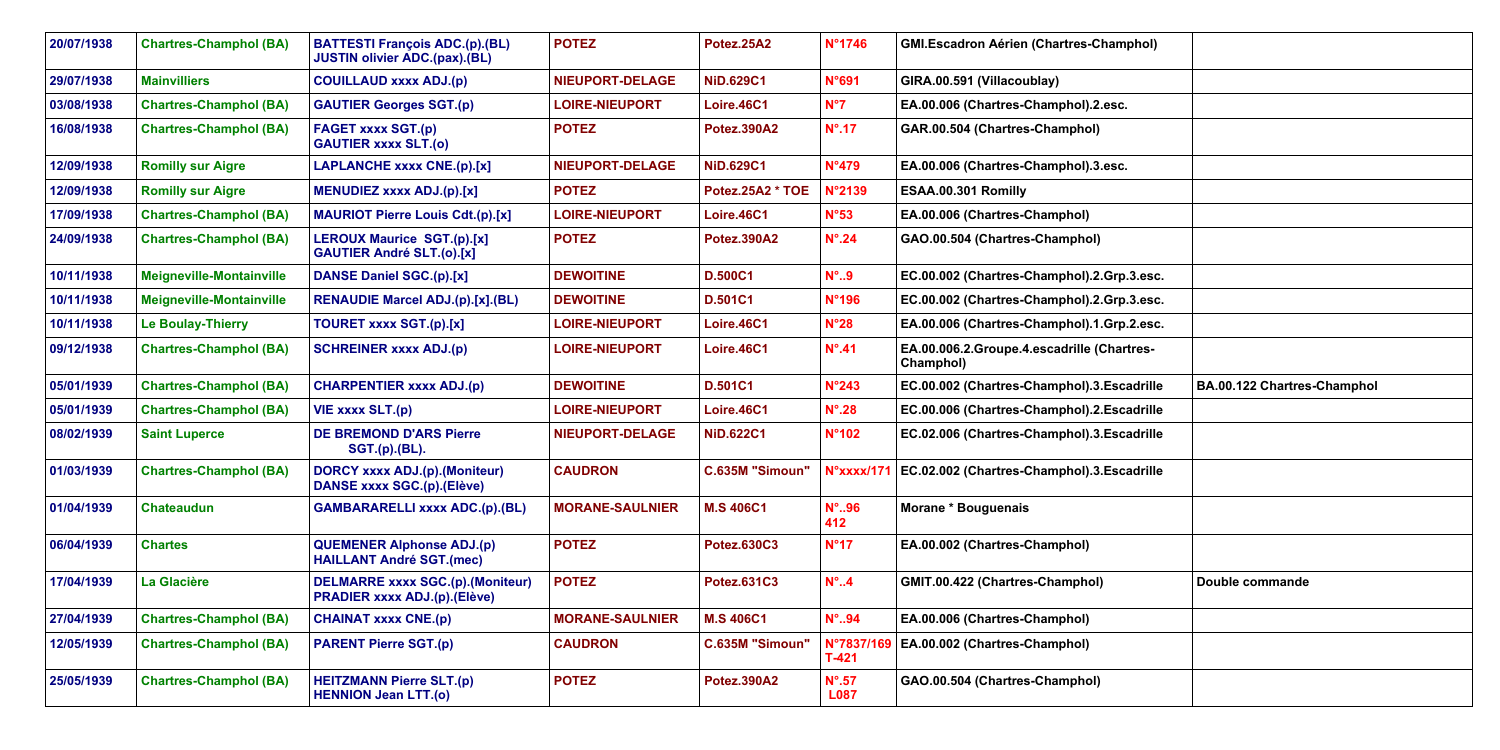| 20/07/1938 | <b>Chartres-Champhol (BA)</b>   | <b>BATTESTI François ADC.(p).(BL)</b><br><b>JUSTIN olivier ADC.(pax).(BL)</b>  | <b>POTEZ</b>           | Potez.25A2         | N°1746                         | <b>GMI.Escadron Aérien (Chartres-Champhol)</b>          |                             |
|------------|---------------------------------|--------------------------------------------------------------------------------|------------------------|--------------------|--------------------------------|---------------------------------------------------------|-----------------------------|
| 29/07/1938 | <b>Mainvilliers</b>             | <b>COUILLAUD xxxx ADJ.(p)</b>                                                  | <b>NIEUPORT-DELAGE</b> | <b>NiD.629C1</b>   | N°691                          | GIRA.00.591 (Villacoublay)                              |                             |
| 03/08/1938 | <b>Chartres-Champhol (BA)</b>   | <b>GAUTIER Georges SGT.(p)</b>                                                 | <b>LOIRE-NIEUPORT</b>  | Loire.46C1         | $N^{\circ}7$                   | EA.00.006 (Chartres-Champhol).2.esc.                    |                             |
| 16/08/1938 | <b>Chartres-Champhol (BA)</b>   | <b>FAGET xxxx SGT.(p)</b><br><b>GAUTIER xxxx SLT.(0)</b>                       | <b>POTEZ</b>           | <b>Potez.390A2</b> | $N^{\circ}$ .17                | GAR.00.504 (Chartres-Champhol)                          |                             |
| 12/09/1938 | <b>Romilly sur Aigre</b>        | <b>LAPLANCHE xxxx CNE.(p).[x]</b>                                              | NIEUPORT-DELAGE        | <b>NiD.629C1</b>   | <b>N°479</b>                   | EA.00.006 (Chartres-Champhol).3.esc.                    |                             |
| 12/09/1938 | <b>Romilly sur Aigre</b>        | <b>MENUDIEZ xxxx ADJ.(p).[x]</b>                                               | <b>POTEZ</b>           | Potez.25A2 * TOE   | N°2139                         | ESAA.00.301 Romilly                                     |                             |
| 17/09/1938 | <b>Chartres-Champhol (BA)</b>   | <b>MAURIOT Pierre Louis Cdt.(p).[x]</b>                                        | <b>LOIRE-NIEUPORT</b>  | Loire.46C1         | N°53                           | EA.00.006 (Chartres-Champhol)                           |                             |
| 24/09/1938 | <b>Chartres-Champhol (BA)</b>   | <b>LEROUX Maurice SGT.(p).[x]</b><br><b>GAUTIER André SLT.(o).[x]</b>          | <b>POTEZ</b>           | <b>Potez.390A2</b> | $N^{\circ}$ .24                | GAO.00.504 (Chartres-Champhol)                          |                             |
| 10/11/1938 | <b>Meigneville-Montainville</b> | DANSE Daniel SGC.(p).[x]                                                       | <b>DEWOITINE</b>       | <b>D.500C1</b>     | $N^{\circ}$ 9                  | EC.00.002 (Chartres-Champhol).2.Grp.3.esc.              |                             |
| 10/11/1938 | <b>Meigneville-Montainville</b> | <b>RENAUDIE Marcel ADJ.(p).[x].(BL)</b>                                        | <b>DEWOITINE</b>       | <b>D.501C1</b>     | N°196                          | EC.00.002 (Chartres-Champhol).2.Grp.3.esc.              |                             |
| 10/11/1938 | Le Boulay-Thierry               | <b>TOURET xxxx SGT.(p).[x]</b>                                                 | <b>LOIRE-NIEUPORT</b>  | Loire.46C1         | $N^{\circ}28$                  | EA.00.006 (Chartres-Champhol).1.Grp.2.esc.              |                             |
| 09/12/1938 | <b>Chartres-Champhol (BA)</b>   | <b>SCHREINER xxxx ADJ.(p)</b>                                                  | <b>LOIRE-NIEUPORT</b>  | Loire.46C1         | $N^{\circ}$ .41                | EA.00.006.2.Groupe.4.escadrille (Chartres-<br>Champhol) |                             |
| 05/01/1939 | <b>Chartres-Champhol (BA)</b>   | <b>CHARPENTIER xxxx ADJ.(p)</b>                                                | <b>DEWOITINE</b>       | D.501C1            | $N^{\circ}$ 243                | EC.00.002 (Chartres-Champhol).3.Escadrille              | BA.00.122 Chartres-Champhol |
| 05/01/1939 | <b>Chartres-Champhol (BA)</b>   | VIE xxxx SLT.(p)                                                               | LOIRE-NIEUPORT         | Loire.46C1         | $N^{\circ}$ .28                | EC.00.006 (Chartres-Champhol).2. Escadrille             |                             |
| 08/02/1939 | <b>Saint Luperce</b>            | <b>DE BREMOND D'ARS Pierre</b><br><b>SGT.(p).(BL).</b>                         | <b>NIEUPORT-DELAGE</b> | <b>NiD.622C1</b>   | N°102                          | EC.02.006 (Chartres-Champhol).3. Escadrille             |                             |
| 01/03/1939 | <b>Chartres-Champhol (BA)</b>   | <b>DORCY xxxx ADJ.(p).(Moniteur)</b><br><b>DANSE xxxx SGC.(p).(Elève)</b>      | <b>CAUDRON</b>         | C.635M "Simoun"    | N°xxxx/17                      | EC.02.002 (Chartres-Champhol).3.Escadrille              |                             |
| 01/04/1939 | <b>Chateaudun</b>               | <b>GAMBARARELLI xxxx ADC.(p).(BL)</b>                                          | <b>MORANE-SAULNIER</b> | <b>M.S 406C1</b>   | $N^{\circ}$ .96<br>412         | Morane * Bouguenais                                     |                             |
| 06/04/1939 | <b>Chartes</b>                  | <b>QUEMENER Alphonse ADJ.(p)</b><br><b>HAILLANT André SGT.(mec)</b>            | <b>POTEZ</b>           | <b>Potez.630C3</b> | N°17                           | EA.00.002 (Chartres-Champhol)                           |                             |
| 17/04/1939 | La Glacière                     | <b>DELMARRE xxxx SGC.(p).(Moniteur)</b><br><b>PRADIER xxxx ADJ.(p).(Elève)</b> | <b>POTEZ</b>           | Potez.631C3        | $N^{\circ}$ 4                  | GMIT.00.422 (Chartres-Champhol)                         | Double commande             |
| 27/04/1939 | <b>Chartres-Champhol (BA)</b>   | <b>CHAINAT xxxx CNE.(p)</b>                                                    | <b>MORANE-SAULNIER</b> | <b>M.S 406C1</b>   | $N^\circ$ 94                   | EA.00.006 (Chartres-Champhol)                           |                             |
| 12/05/1939 | <b>Chartres-Champhol (BA)</b>   | <b>PARENT Pierre SGT.(p)</b>                                                   | <b>CAUDRON</b>         | C.635M "Simoun"    | N°7837/16<br>$T-421$           | EA.00.002 (Chartres-Champhol)                           |                             |
| 25/05/1939 | <b>Chartres-Champhol (BA)</b>   | <b>HEITZMANN Pierre SLT.(p)</b><br><b>HENNION Jean LTT.(o)</b>                 | <b>POTEZ</b>           | <b>Potez.390A2</b> | $N^{\circ}$ .57<br><b>L087</b> | GAO.00.504 (Chartres-Champhol)                          |                             |
|            |                                 |                                                                                |                        |                    |                                |                                                         |                             |

| hamphol)          |                                    |
|-------------------|------------------------------------|
|                   |                                    |
| esc.              |                                    |
|                   |                                    |
| esc.              |                                    |
|                   |                                    |
|                   |                                    |
|                   |                                    |
| Grp.3.esc.        |                                    |
| Grp.3.esc.        |                                    |
| Grp.2.esc.        |                                    |
| hartres-          |                                    |
| <b>Escadrille</b> |                                    |
|                   | <b>BA.00.122 Chartres-Champhol</b> |
| <b>Escadrille</b> |                                    |
| <b>Escadrille</b> |                                    |
| <b>Escadrille</b> |                                    |
|                   |                                    |
|                   |                                    |
|                   | Double commande                    |
|                   |                                    |
|                   |                                    |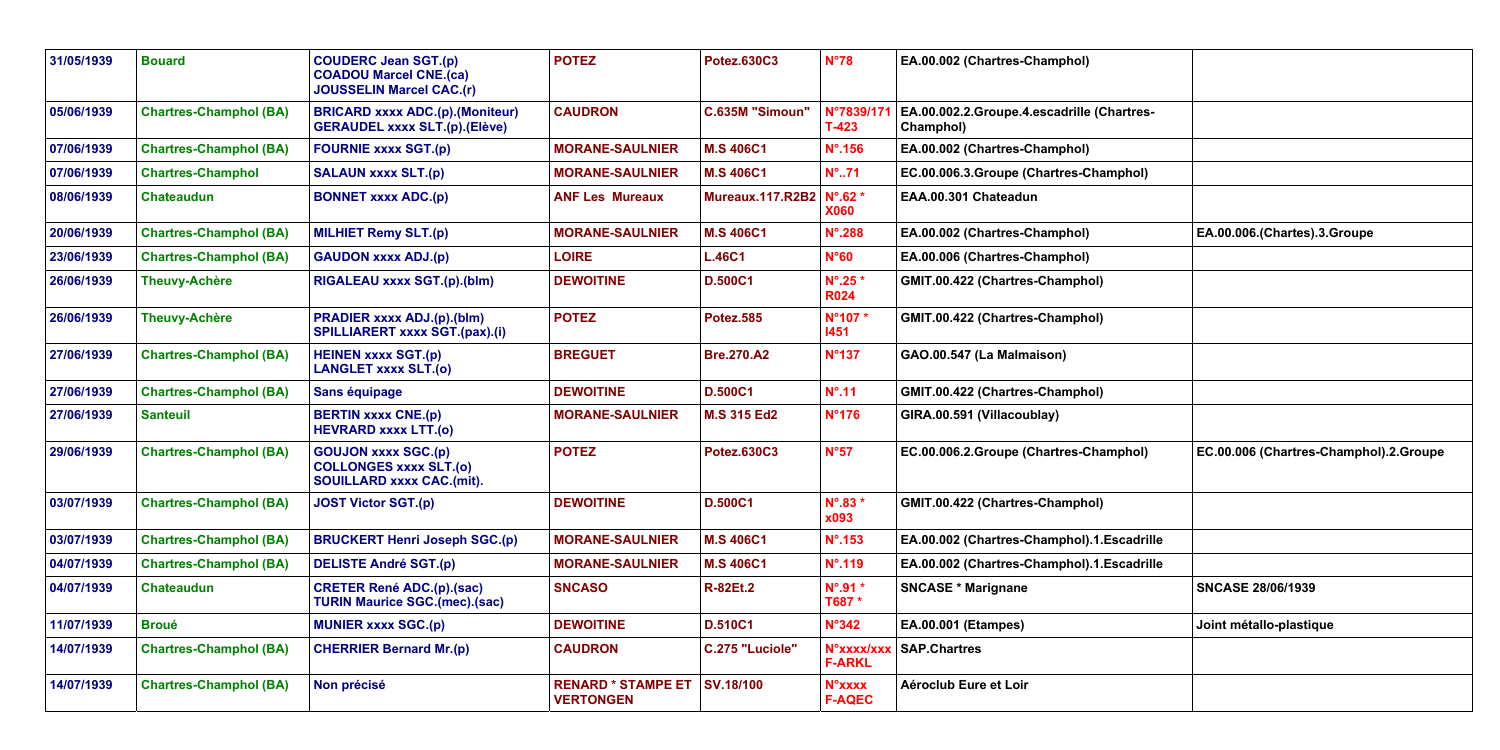| 31/05/1939 | <b>Bouard</b>                 | <b>COUDERC Jean SGT.(p)</b><br><b>COADOU Marcel CNE.(ca)</b><br><b>JOUSSELIN Marcel CAC.(r)</b> | <b>POTEZ</b>                                  | <b>Potez.630C3</b>         | $N^{\circ}78$                      | EA.00.002 (Chartres-Champhol)                           |                              |
|------------|-------------------------------|-------------------------------------------------------------------------------------------------|-----------------------------------------------|----------------------------|------------------------------------|---------------------------------------------------------|------------------------------|
| 05/06/1939 | <b>Chartres-Champhol (BA)</b> | <b>BRICARD xxxx ADC.(p).(Moniteur)</b><br><b>GERAUDEL xxxx SLT.(p).(Elève)</b>                  | <b>CAUDRON</b>                                | C.635M "Simoun"            | N°7839/17<br>$T-423$               | EA.00.002.2.Groupe.4.escadrille (Chartres-<br>Champhol) |                              |
| 07/06/1939 | <b>Chartres-Champhol (BA)</b> | <b>FOURNIE xxxx SGT.(p)</b>                                                                     | <b>MORANE-SAULNIER</b>                        | <b>M.S 406C1</b>           | $N^{\circ}$ .156                   | EA.00.002 (Chartres-Champhol)                           |                              |
| 07/06/1939 | <b>Chartres-Champhol</b>      | <b>SALAUN xxxx SLT.(p)</b>                                                                      | <b>MORANE-SAULNIER</b>                        | <b>M.S 406C1</b>           | $N^{\circ}$ 71                     | EC.00.006.3.Groupe (Chartres-Champhol)                  |                              |
| 08/06/1939 | <b>Chateaudun</b>             | <b>BONNET xxxx ADC.(p)</b>                                                                      | <b>ANF Les Mureaux</b>                        | Mureaux.117.R2B2   N°.62 * | <b>X060</b>                        | EAA.00.301 Chateadun                                    |                              |
| 20/06/1939 | <b>Chartres-Champhol (BA)</b> | <b>MILHIET Remy SLT.(p)</b>                                                                     | <b>MORANE-SAULNIER</b>                        | <b>M.S 406C1</b>           | $N^{\circ}$ .288                   | EA.00.002 (Chartres-Champhol)                           | EA.00.006.(Chartes).3.Groupe |
| 23/06/1939 | <b>Chartres-Champhol (BA)</b> | <b>GAUDON xxxx ADJ.(p)</b>                                                                      | <b>LOIRE</b>                                  | <b>L.46C1</b>              | N°60                               | EA.00.006 (Chartres-Champhol)                           |                              |
| 26/06/1939 | <b>Theuvy-Achère</b>          | RIGALEAU xxxx SGT.(p).(blm)                                                                     | <b>DEWOITINE</b>                              | <b>D.500C1</b>             | $N^{\circ}$ .25 $*$<br><b>R024</b> | GMIT.00.422 (Chartres-Champhol)                         |                              |
| 26/06/1939 | <b>Theuvy-Achère</b>          | <b>PRADIER xxxx ADJ.(p).(blm)</b><br><b>SPILLIARERT xxxx SGT.(pax).(i)</b>                      | <b>POTEZ</b>                                  | <b>Potez.585</b>           | N°107*<br>1451                     | GMIT.00.422 (Chartres-Champhol)                         |                              |
| 27/06/1939 | <b>Chartres-Champhol (BA)</b> | <b>HEINEN xxxx SGT.(p)</b><br><b>LANGLET xxxx SLT.(o)</b>                                       | <b>BREGUET</b>                                | <b>Bre.270.A2</b>          | <b>N°137</b>                       | GAO.00.547 (La Malmaison)                               |                              |
| 27/06/1939 | <b>Chartres-Champhol (BA)</b> | Sans équipage                                                                                   | <b>DEWOITINE</b>                              | <b>D.500C1</b>             | $N^{\circ}$ .11                    | GMIT.00.422 (Chartres-Champhol)                         |                              |
| 27/06/1939 | <b>Santeuil</b>               | <b>BERTIN xxxx CNE.(p)</b><br><b>HEVRARD xxxx LTT.(0)</b>                                       | <b>MORANE-SAULNIER</b>                        | <b>M.S 315 Ed2</b>         | <b>N°176</b>                       | GIRA.00.591 (Villacoublay)                              |                              |
| 29/06/1939 | <b>Chartres-Champhol (BA)</b> | <b>GOUJON XXXX SGC.(p)</b><br><b>COLLONGES xxxx SLT.(0)</b><br><b>SOUILLARD xxxx CAC.(mit).</b> | <b>POTEZ</b>                                  | <b>Potez.630C3</b>         | N°57                               | EC.00.006.2.Groupe (Chartres-Champhol)                  | EC.00.006 (Chartres-Champho  |
| 03/07/1939 | <b>Chartres-Champhol (BA)</b> | <b>JOST Victor SGT.(p)</b>                                                                      | <b>DEWOITINE</b>                              | <b>D.500C1</b>             | N°.83 *<br>x093                    | GMIT.00.422 (Chartres-Champhol)                         |                              |
| 03/07/1939 | <b>Chartres-Champhol (BA)</b> | <b>BRUCKERT Henri Joseph SGC.(p)</b>                                                            | <b>MORANE-SAULNIER</b>                        | <b>M.S 406C1</b>           | $N^{\circ}$ .153                   | EA.00.002 (Chartres-Champhol).1.Escadrille              |                              |
| 04/07/1939 | <b>Chartres-Champhol (BA)</b> | <b>DELISTE André SGT.(p)</b>                                                                    | <b>MORANE-SAULNIER</b>                        | <b>M.S 406C1</b>           | $N^{\circ}$ .119                   | EA.00.002 (Chartres-Champhol).1. Escadrille             |                              |
| 04/07/1939 | <b>Chateaudun</b>             | <b>CRETER René ADC.(p).(sac)</b><br><b>TURIN Maurice SGC.(mec).(sac)</b>                        | <b>SNCASO</b>                                 | <b>R-82Et.2</b>            | $N^{\circ}$ .91 $*$<br>T687 *      | <b>SNCASE * Marignane</b>                               | <b>SNCASE 28/06/1939</b>     |
| 11/07/1939 | <b>Broué</b>                  | <b>MUNIER xxxx SGC.(p)</b>                                                                      | <b>DEWOITINE</b>                              | <b>D.510C1</b>             | N°342                              | <b>EA.00.001 (Etampes)</b>                              | Joint métallo-plastique      |
| 14/07/1939 | <b>Chartres-Champhol (BA)</b> | <b>CHERRIER Bernard Mr.(p)</b>                                                                  | <b>CAUDRON</b>                                | C.275 "Luciole"            | N°xxxx/xx<br><b>F-ARKL</b>         | <b>SAP.Chartres</b>                                     |                              |
| 14/07/1939 | <b>Chartres-Champhol (BA)</b> | Non précisé                                                                                     | <b>RENARD * STAMPE ET</b><br><b>VERTONGEN</b> | SV.18/100                  | <b>N°xxxx</b><br><b>F-AQEC</b>     | Aéroclub Eure et Loir                                   |                              |
|            |                               |                                                                                                 |                                               |                            |                                    |                                                         |                              |

| amphol)                      |                                        |
|------------------------------|----------------------------------------|
| <b>escadrille (Chartres-</b> |                                        |
| amphol)                      |                                        |
| hartres-Champhol)            |                                        |
|                              |                                        |
| amphol)                      | EA.00.006.(Chartes).3.Groupe           |
| (lamphol                     |                                        |
| Champhol)                    |                                        |
| Champhol)                    |                                        |
| ison)                        |                                        |
| Champhol)                    |                                        |
| lay)                         |                                        |
| hartres-Champhol)            | EC.00.006 (Chartres-Champhol).2.Groupe |
| Champhol)                    |                                        |
| namphol).1.Escadrille        |                                        |
| namphol).1.Escadrille        |                                        |
|                              | <b>SNCASE 28/06/1939</b>               |
|                              | Joint métallo-plastique                |
|                              |                                        |
|                              |                                        |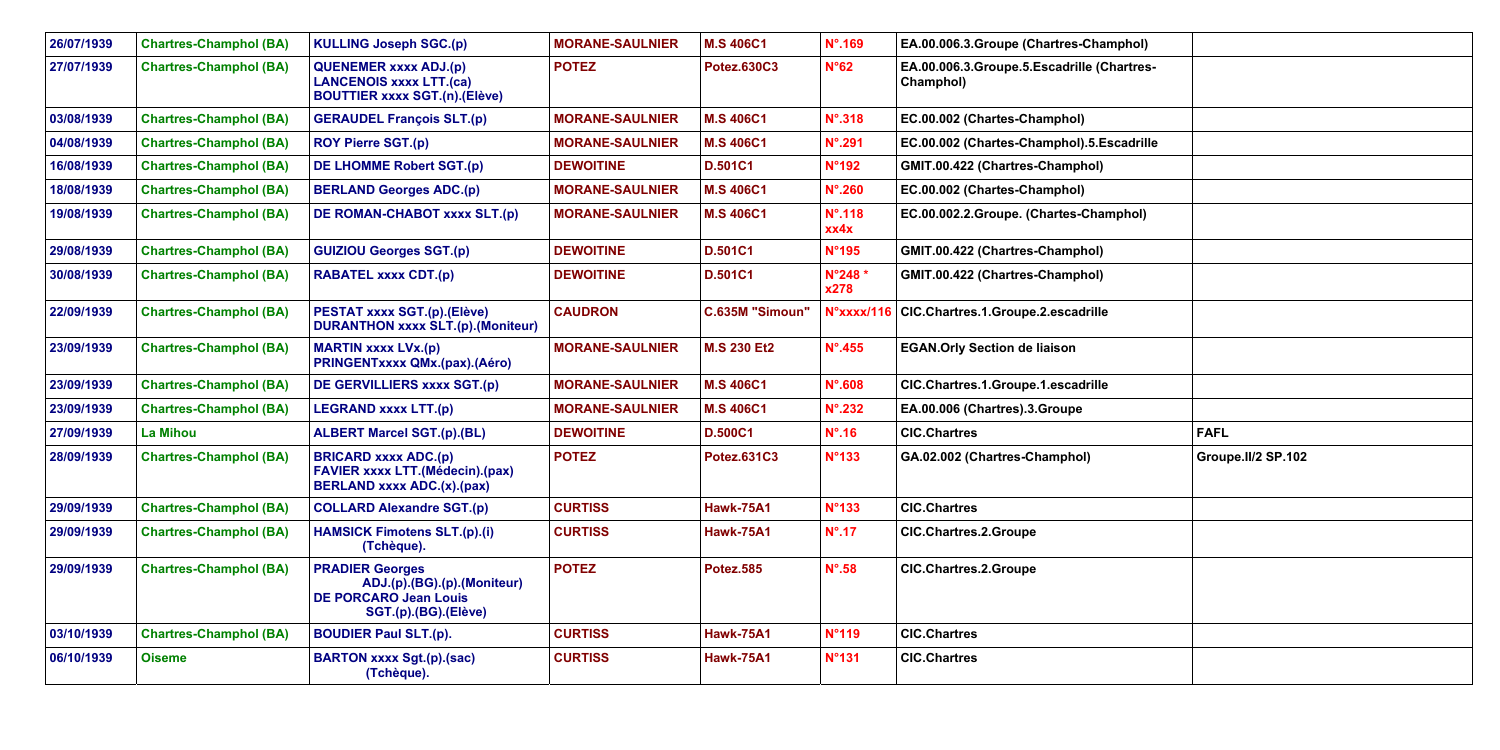| 26/07/1939 | <b>Chartres-Champhol (BA)</b> | <b>KULLING Joseph SGC.(p)</b>                                                                                 | <b>MORANE-SAULNIER</b> | <b>M.S 406C1</b>       | $N^{\circ}$ .169         | EA.00.006.3.Groupe (Chartres-Champhol)                  |                    |
|------------|-------------------------------|---------------------------------------------------------------------------------------------------------------|------------------------|------------------------|--------------------------|---------------------------------------------------------|--------------------|
| 27/07/1939 | <b>Chartres-Champhol (BA)</b> | <b>QUENEMER xxxx ADJ.(p)</b><br><b>LANCENOIS xxxx LTT.(ca)</b><br><b>BOUTTIER xxxx SGT.(n).(Elève)</b>        | <b>POTEZ</b>           | <b>Potez.630C3</b>     | N°62                     | EA.00.006.3.Groupe.5.Escadrille (Chartres-<br>Champhol) |                    |
| 03/08/1939 | <b>Chartres-Champhol (BA)</b> | <b>GERAUDEL François SLT.(p)</b>                                                                              | <b>MORANE-SAULNIER</b> | <b>M.S 406C1</b>       | $N^{\circ}$ .318         | EC.00.002 (Chartes-Champhol)                            |                    |
| 04/08/1939 | <b>Chartres-Champhol (BA)</b> | <b>ROY Pierre SGT.(p)</b>                                                                                     | <b>MORANE-SAULNIER</b> | <b>M.S 406C1</b>       | $N^{\circ}$ .291         | EC.00.002 (Chartes-Champhol).5.Escadrille               |                    |
| 16/08/1939 | <b>Chartres-Champhol (BA)</b> | DE LHOMME Robert SGT.(p)                                                                                      | <b>DEWOITINE</b>       | D.501C1                | <b>N°192</b>             | GMIT.00.422 (Chartres-Champhol)                         |                    |
| 18/08/1939 | <b>Chartres-Champhol (BA)</b> | <b>BERLAND Georges ADC.(p)</b>                                                                                | <b>MORANE-SAULNIER</b> | <b>M.S 406C1</b>       | $N^{\circ}$ .260         | EC.00.002 (Chartes-Champhol)                            |                    |
| 19/08/1939 | <b>Chartres-Champhol (BA)</b> | DE ROMAN-CHABOT xxxx SLT.(p)                                                                                  | <b>MORANE-SAULNIER</b> | <b>M.S 406C1</b>       | $N^{\circ}$ .118<br>xx4x | EC.00.002.2.Groupe. (Chartes-Champhol)                  |                    |
| 29/08/1939 | <b>Chartres-Champhol (BA)</b> | <b>GUIZIOU Georges SGT.(p)</b>                                                                                | <b>DEWOITINE</b>       | <b>D.501C1</b>         | <b>N°195</b>             | GMIT.00.422 (Chartres-Champhol)                         |                    |
| 30/08/1939 | <b>Chartres-Champhol (BA)</b> | <b>RABATEL xxxx CDT.(p)</b>                                                                                   | <b>DEWOITINE</b>       | D.501C1                | N°248*<br>x278           | GMIT.00.422 (Chartres-Champhol)                         |                    |
| 22/09/1939 | <b>Chartres-Champhol (BA)</b> | PESTAT xxxx SGT.(p).(Elève)<br><b>DURANTHON xxxx SLT.(p).(Moniteur)</b>                                       | <b>CAUDRON</b>         | <b>C.635M "Simoun"</b> | N°xxxx/116               | CIC.Chartres.1.Groupe.2.escadrille                      |                    |
| 23/09/1939 | <b>Chartres-Champhol (BA)</b> | <b>MARTIN xxxx LVx.(p)</b><br><b>PRINGENTXXXX QMx.(pax).(Aéro)</b>                                            | <b>MORANE-SAULNIER</b> | <b>M.S 230 Et2</b>     | $N^{\circ}$ .455         | <b>EGAN.Orly Section de liaison</b>                     |                    |
| 23/09/1939 | <b>Chartres-Champhol (BA)</b> | DE GERVILLIERS xxxx SGT.(p)                                                                                   | <b>MORANE-SAULNIER</b> | <b>M.S 406C1</b>       | $N^{\circ}$ .608         | CIC.Chartres.1.Groupe.1.escadrille                      |                    |
| 23/09/1939 | <b>Chartres-Champhol (BA)</b> | <b>LEGRAND xxxx LTT.(p)</b>                                                                                   | <b>MORANE-SAULNIER</b> | <b>M.S 406C1</b>       | $N^{\circ}$ .232         | EA.00.006 (Chartres).3.Groupe                           |                    |
| 27/09/1939 | <b>La Mihou</b>               | <b>ALBERT Marcel SGT.(p).(BL)</b>                                                                             | <b>DEWOITINE</b>       | <b>D.500C1</b>         | $N^{\circ}$ .16          | <b>CIC.Chartres</b>                                     | <b>FAFL</b>        |
| 28/09/1939 | <b>Chartres-Champhol (BA)</b> | <b>BRICARD xxxx ADC.(p)</b><br><b>FAVIER xxxx LTT.(Médecin).(pax)</b><br><b>BERLAND xxxx ADC.(x).(pax)</b>    | <b>POTEZ</b>           | Potez.631C3            | N°133                    | GA.02.002 (Chartres-Champhol)                           | Groupe.II/2 SP.102 |
| 29/09/1939 | <b>Chartres-Champhol (BA)</b> | <b>COLLARD Alexandre SGT.(p)</b>                                                                              | <b>CURTISS</b>         | <b>Hawk-75A1</b>       | N°133                    | <b>CIC.Chartres</b>                                     |                    |
| 29/09/1939 | <b>Chartres-Champhol (BA)</b> | <b>HAMSICK Fimotens SLT.(p).(i)</b><br>(Tchèque).                                                             | <b>CURTISS</b>         | <b>Hawk-75A1</b>       | $N^{\circ}$ .17          | <b>CIC.Chartres.2.Groupe</b>                            |                    |
| 29/09/1939 | <b>Chartres-Champhol (BA)</b> | <b>PRADIER Georges</b><br>ADJ.(p).(BG).(p).(Moniteur)<br><b>DE PORCARO Jean Louis</b><br>SGT.(p).(BG).(Elève) | <b>POTEZ</b>           | <b>Potez.585</b>       | $N^{\circ}$ .58          | <b>CIC.Chartres.2.Groupe</b>                            |                    |
| 03/10/1939 | <b>Chartres-Champhol (BA)</b> | <b>BOUDIER Paul SLT.(p).</b>                                                                                  | <b>CURTISS</b>         | <b>Hawk-75A1</b>       | <b>N°119</b>             | <b>CIC.Chartres</b>                                     |                    |
| 06/10/1939 | <b>Oiseme</b>                 | <b>BARTON xxxx Sgt.(p).(sac)</b><br>(Tchèque).                                                                | <b>CURTISS</b>         | <b>Hawk-75A1</b>       | N°131                    | <b>CIC.Chartres</b>                                     |                    |

| mphol)    |                    |
|-----------|--------------------|
| hartres-  |                    |
|           |                    |
|           |                    |
| scadrille |                    |
|           |                    |
|           |                    |
| mphol)    |                    |
|           |                    |
|           |                    |
|           |                    |
|           |                    |
|           |                    |
|           |                    |
|           |                    |
|           |                    |
|           | <b>FAFL</b>        |
|           | Groupe.II/2 SP.102 |
|           |                    |
|           |                    |
|           |                    |
|           |                    |
|           |                    |
|           |                    |
|           |                    |
|           |                    |
|           |                    |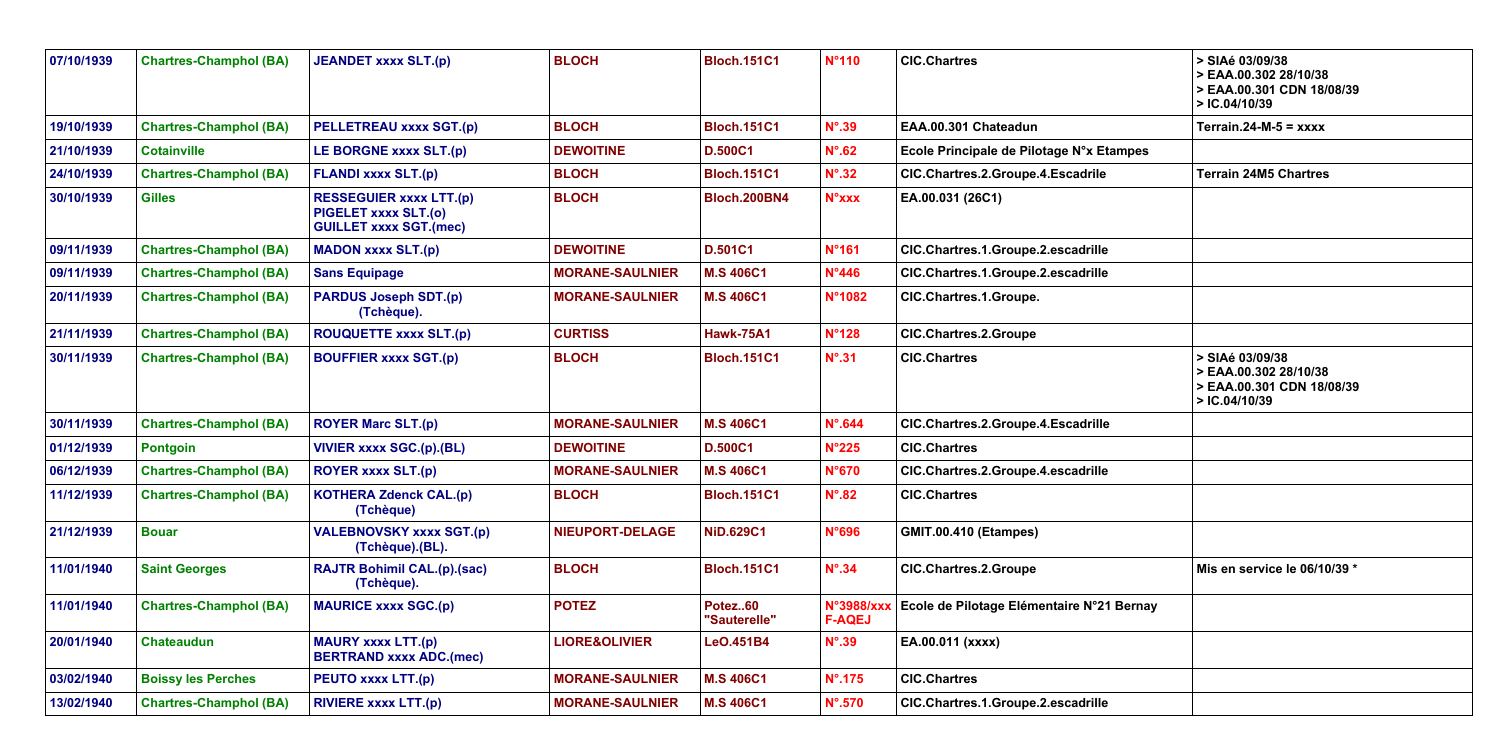|     | > SIAé 03/09/38<br>> EAA.00.302 28/10/38<br>> EAA.00.301 CDN 18/08/39<br>>IC.04/10/39 |
|-----|---------------------------------------------------------------------------------------|
|     | Terrain. $24-M-5 = XXXX$                                                              |
| es  |                                                                                       |
|     | <b>Terrain 24M5 Chartres</b>                                                          |
|     |                                                                                       |
|     |                                                                                       |
|     |                                                                                       |
|     |                                                                                       |
|     |                                                                                       |
|     | > SIAé 03/09/38<br>> EAA.00.302 28/10/38<br>> EAA.00.301 CDN 18/08/39<br>>IC.04/10/39 |
|     |                                                                                       |
|     |                                                                                       |
|     |                                                                                       |
|     |                                                                                       |
|     |                                                                                       |
|     | Mis en service le 06/10/39 *                                                          |
| nay |                                                                                       |
|     |                                                                                       |
|     |                                                                                       |
|     |                                                                                       |

| 07/10/1939 | <b>Chartres-Champhol (BA)</b> | <b>JEANDET xxxx SLT.(p)</b>                                                             | <b>BLOCH</b>             | <b>Bloch.151C1</b>      | N°110            | <b>CIC.Chartres</b>                                  | > SIAé 03/09/38<br>> EAA.00.302 28/10/38<br>> EAA.00.301 CDN 18/08/39<br>>IC.04/10/39 |
|------------|-------------------------------|-----------------------------------------------------------------------------------------|--------------------------|-------------------------|------------------|------------------------------------------------------|---------------------------------------------------------------------------------------|
| 19/10/1939 | <b>Chartres-Champhol (BA)</b> | <b>PELLETREAU xxxx SGT.(p)</b>                                                          | <b>BLOCH</b>             | <b>Bloch.151C1</b>      | $N^{\circ}$ .39  | EAA.00.301 Chateadun                                 | Terrain.24-M-5 = $xxxxx$                                                              |
| 21/10/1939 | <b>Cotainville</b>            | LE BORGNE xxxx SLT.(p)                                                                  | <b>DEWOITINE</b>         | <b>D.500C1</b>          | $N^{\circ}$ .62  | Ecole Principale de Pilotage N°x Etampes             |                                                                                       |
| 24/10/1939 | <b>Chartres-Champhol (BA)</b> | <b>FLANDI xxxx SLT.(p)</b>                                                              | <b>BLOCH</b>             | <b>Bloch.151C1</b>      | $N^{\circ}$ .32  | CIC.Chartres.2.Groupe.4.Escadrile                    | <b>Terrain 24M5 Chartres</b>                                                          |
| 30/10/1939 | <b>Gilles</b>                 | <b>RESSEGUIER xxxx LTT.(p)</b><br>PIGELET xxxx SLT.(o)<br><b>GUILLET xxxx SGT.(mec)</b> | <b>BLOCH</b>             | <b>Bloch.200BN4</b>     | <b>N°xxx</b>     | EA.00.031 (26C1)                                     |                                                                                       |
| 09/11/1939 | <b>Chartres-Champhol (BA)</b> | <b>MADON xxxx SLT.(p)</b>                                                               | <b>DEWOITINE</b>         | <b>D.501C1</b>          | N°161            | CIC.Chartres.1.Groupe.2.escadrille                   |                                                                                       |
| 09/11/1939 | <b>Chartres-Champhol (BA)</b> | <b>Sans Equipage</b>                                                                    | <b>MORANE-SAULNIER</b>   | <b>M.S 406C1</b>        | N°446            | CIC.Chartres.1.Groupe.2.escadrille                   |                                                                                       |
| 20/11/1939 | <b>Chartres-Champhol (BA)</b> | <b>PARDUS Joseph SDT.(p)</b><br>(Tchèque).                                              | <b>MORANE-SAULNIER</b>   | <b>M.S 406C1</b>        | N°1082           | CIC.Chartres.1.Groupe.                               |                                                                                       |
| 21/11/1939 | <b>Chartres-Champhol (BA)</b> | <b>ROUQUETTE xxxx SLT.(p)</b>                                                           | <b>CURTISS</b>           | <b>Hawk-75A1</b>        | <b>N°128</b>     | <b>CIC.Chartres.2.Groupe</b>                         |                                                                                       |
| 30/11/1939 | <b>Chartres-Champhol (BA)</b> | <b>BOUFFIER xxxx SGT.(p)</b>                                                            | <b>BLOCH</b>             | <b>Bloch.151C1</b>      | $N^{\circ}$ .31  | <b>CIC.Chartres</b>                                  | > SIAé 03/09/38<br>> EAA.00.302 28/10/38<br>> EAA.00.301 CDN 18/08/39<br>>IC.04/10/39 |
| 30/11/1939 | <b>Chartres-Champhol (BA)</b> | <b>ROYER Marc SLT.(p)</b>                                                               | <b>MORANE-SAULNIER</b>   | <b>M.S 406C1</b>        | $N^{\circ}$ .644 | CIC.Chartres.2.Groupe.4.Escadrille                   |                                                                                       |
| 01/12/1939 | <b>Pontgoin</b>               | <b>VIVIER xxxx SGC.(p).(BL)</b>                                                         | <b>DEWOITINE</b>         | D.500C1                 | $N^{\circ}225$   | <b>CIC.Chartres</b>                                  |                                                                                       |
| 06/12/1939 | <b>Chartres-Champhol (BA)</b> | <b>ROYER XXXX SLT.(p)</b>                                                               | <b>MORANE-SAULNIER</b>   | <b>M.S 406C1</b>        | N°670            | CIC.Chartres.2.Groupe.4.escadrille                   |                                                                                       |
| 11/12/1939 | <b>Chartres-Champhol (BA)</b> | <b>KOTHERA Zdenck CAL.(p)</b><br>(Tchèque)                                              | <b>BLOCH</b>             | <b>Bloch.151C1</b>      | $N^{\circ}.82$   | <b>CIC.Chartres</b>                                  |                                                                                       |
| 21/12/1939 | <b>Bouar</b>                  | <b>VALEBNOVSKY xxxx SGT.(p)</b><br>(Tchèque).(BL).                                      | NIEUPORT-DELAGE          | <b>NiD.629C1</b>        | <b>N°696</b>     | <b>GMIT.00.410 (Etampes)</b>                         |                                                                                       |
| 11/01/1940 | <b>Saint Georges</b>          | <b>RAJTR Bohimil CAL.(p).(sac)</b><br>(Tchèque).                                        | <b>BLOCH</b>             | <b>Bloch.151C1</b>      | $N^{\circ}$ .34  | <b>CIC.Chartres.2.Groupe</b>                         | Mis en service le 06/10/39 *                                                          |
| 11/01/1940 | <b>Chartres-Champhol (BA)</b> | <b>MAURICE xxxx SGC.(p)</b>                                                             | <b>POTEZ</b>             | Potez60<br>"Sauterelle" | <b>F-AQEJ</b>    | N°3988/xxx Ecole de Pilotage Elémentaire N°21 Bernay |                                                                                       |
| 20/01/1940 | <b>Chateaudun</b>             | <b>MAURY xxxx LTT.(p)</b><br><b>BERTRAND xxxx ADC.(mec)</b>                             | <b>LIORE&amp;OLIVIER</b> | LeO.451B4               | $N^{\circ}$ .39  | EA.00.011 (xxxx)                                     |                                                                                       |
| 03/02/1940 | <b>Boissy les Perches</b>     | PEUTO xxxx LTT.(p)                                                                      | <b>MORANE-SAULNIER</b>   | <b>M.S 406C1</b>        | $N^{\circ}$ .175 | <b>CIC.Chartres</b>                                  |                                                                                       |
| 13/02/1940 | <b>Chartres-Champhol (BA)</b> | <b>RIVIERE XXXX LTT.(p)</b>                                                             | <b>MORANE-SAULNIER</b>   | <b>M.S 406C1</b>        | $N^{\circ}$ .570 | CIC.Chartres.1.Groupe.2.escadrille                   |                                                                                       |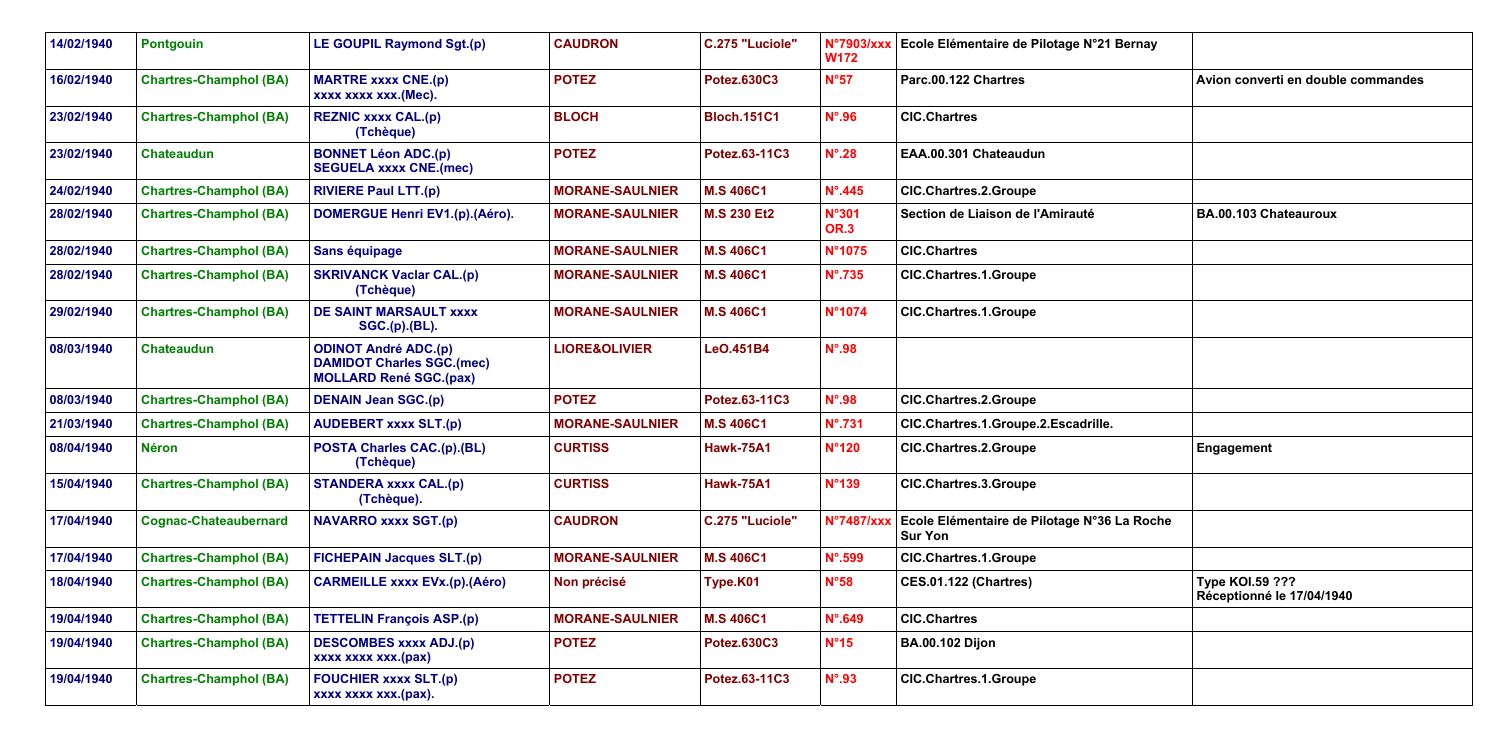| 14/02/1940 | <b>Pontgouin</b>              | <b>LE GOUPIL Raymond Sgt.(p)</b>                                                                 | <b>CAUDRON</b>           | C.275 "Luciole"    | <b>N°7903/xxx</b><br><b>W172</b> | Ecole Elémentaire de Pilotage N°21 Bernay                     |                                                     |
|------------|-------------------------------|--------------------------------------------------------------------------------------------------|--------------------------|--------------------|----------------------------------|---------------------------------------------------------------|-----------------------------------------------------|
| 16/02/1940 | <b>Chartres-Champhol (BA)</b> | <b>MARTRE xxxx CNE.(p)</b><br>xxxx xxxx xxx.(Mec).                                               | <b>POTEZ</b>             | <b>Potez.630C3</b> | N°57                             | Parc.00.122 Chartres                                          | Avion converti en double commandes                  |
| 23/02/1940 | <b>Chartres-Champhol (BA)</b> | <b>REZNIC xxxx CAL.(p)</b><br>(Tchèque)                                                          | <b>BLOCH</b>             | <b>Bloch.151C1</b> | $N^{\circ}$ .96                  | <b>CIC.Chartres</b>                                           |                                                     |
| 23/02/1940 | <b>Chateaudun</b>             | <b>BONNET Léon ADC.(p)</b><br><b>SEGUELA xxxx CNE.(mec)</b>                                      | <b>POTEZ</b>             | Potez.63-11C3      | $N^{\circ}$ .28                  | EAA.00.301 Chateaudun                                         |                                                     |
| 24/02/1940 | <b>Chartres-Champhol (BA)</b> | <b>RIVIERE Paul LTT.(p)</b>                                                                      | <b>MORANE-SAULNIER</b>   | <b>M.S 406C1</b>   | $N^{\circ}$ .445                 | <b>CIC.Chartres.2.Groupe</b>                                  |                                                     |
| 28/02/1940 | <b>Chartres-Champhol (BA)</b> | <b>DOMERGUE Henri EV1.(p).(Aéro).</b>                                                            | <b>MORANE-SAULNIER</b>   | <b>M.S 230 Et2</b> | <b>N°301</b><br><b>OR.3</b>      | Section de Liaison de l'Amirauté                              | BA.00.103 Chateauroux                               |
| 28/02/1940 | <b>Chartres-Champhol (BA)</b> | Sans équipage                                                                                    | <b>MORANE-SAULNIER</b>   | <b>M.S 406C1</b>   | N°1075                           | <b>CIC.Chartres</b>                                           |                                                     |
| 28/02/1940 | <b>Chartres-Champhol (BA)</b> | <b>SKRIVANCK Vaclar CAL.(p)</b><br>(Tchèque)                                                     | <b>MORANE-SAULNIER</b>   | <b>M.S 406C1</b>   | $N^{\circ}$ .735                 | <b>CIC.Chartres.1.Groupe</b>                                  |                                                     |
| 29/02/1940 | <b>Chartres-Champhol (BA)</b> | <b>DE SAINT MARSAULT xxxx</b><br><b>SGC.(p).(BL).</b>                                            | <b>MORANE-SAULNIER</b>   | <b>M.S 406C1</b>   | N°1074                           | <b>CIC.Chartres.1.Groupe</b>                                  |                                                     |
| 08/03/1940 | <b>Chateaudun</b>             | <b>ODINOT André ADC.(p)</b><br><b>DAMIDOT Charles SGC.(mec)</b><br><b>MOLLARD René SGC.(pax)</b> | <b>LIORE&amp;OLIVIER</b> | LeO.451B4          | $N^{\circ}$ .98                  |                                                               |                                                     |
| 08/03/1940 | <b>Chartres-Champhol (BA)</b> | <b>DENAIN Jean SGC.(p)</b>                                                                       | <b>POTEZ</b>             | Potez.63-11C3      | $N^{\circ}$ .98                  | <b>CIC.Chartres.2.Groupe</b>                                  |                                                     |
| 21/03/1940 | <b>Chartres-Champhol (BA)</b> | <b>AUDEBERT xxxx SLT.(p)</b>                                                                     | <b>MORANE-SAULNIER</b>   | <b>M.S 406C1</b>   | $N^{\circ}$ .731                 | CIC.Chartres.1.Groupe.2.Escadrille.                           |                                                     |
| 08/04/1940 | <b>Néron</b>                  | <b>POSTA Charles CAC.(p).(BL)</b><br>(Tchèque)                                                   | <b>CURTISS</b>           | <b>Hawk-75A1</b>   | N°120                            | <b>CIC.Chartres.2.Groupe</b>                                  | Engagement                                          |
| 15/04/1940 | <b>Chartres-Champhol (BA)</b> | <b>STANDERA xxxx CAL.(p)</b><br>(Tchèque).                                                       | <b>CURTISS</b>           | <b>Hawk-75A1</b>   | <b>N°139</b>                     | <b>CIC.Chartres.3.Groupe</b>                                  |                                                     |
| 17/04/1940 | <b>Cognac-Chateaubernard</b>  | <b>NAVARRO xxxx SGT.(p)</b>                                                                      | <b>CAUDRON</b>           | C.275 "Luciole"    | <b>N°7487/xxx</b>                | Ecole Elémentaire de Pilotage N°36 La Roche<br><b>Sur Yon</b> |                                                     |
| 17/04/1940 | <b>Chartres-Champhol (BA)</b> | <b>FICHEPAIN Jacques SLT.(p)</b>                                                                 | <b>MORANE-SAULNIER</b>   | <b>M.S 406C1</b>   | $N^{\circ}$ .599                 | <b>CIC.Chartres.1.Groupe</b>                                  |                                                     |
| 18/04/1940 | <b>Chartres-Champhol (BA)</b> | <b>CARMEILLE xxxx EVx.(p).(Aéro)</b>                                                             | Non précisé              | Type.K01           | N°58                             | <b>CES.01.122 (Chartres)</b>                                  | <b>Type KOI.59 ???</b><br>Réceptionné le 17/04/1940 |
| 19/04/1940 | <b>Chartres-Champhol (BA)</b> | <b>TETTELIN François ASP.(p)</b>                                                                 | <b>MORANE-SAULNIER</b>   | <b>M.S 406C1</b>   | $N^{\circ}$ .649                 | <b>CIC.Chartres</b>                                           |                                                     |
| 19/04/1940 | <b>Chartres-Champhol (BA)</b> | <b>DESCOMBES xxxx ADJ.(p)</b><br>xxxx xxxx xxx.(pax)                                             | <b>POTEZ</b>             | <b>Potez.630C3</b> | $N^{\circ}15$                    | <b>BA.00.102 Dijon</b>                                        |                                                     |
| 19/04/1940 | <b>Chartres-Champhol (BA)</b> | <b>FOUCHIER xxxx SLT.(p)</b><br>xxxx xxxx xxx.(pax).                                             | <b>POTEZ</b>             | Potez.63-11C3      | $N^{\circ}$ .93                  | <b>CIC.Chartres.1.Groupe</b>                                  |                                                     |
|            |                               |                                                                                                  |                          |                    |                                  |                                                               |                                                     |

| Pilotage N°21 Bernay   |                                              |
|------------------------|----------------------------------------------|
|                        | Avion converti en double commandes           |
|                        |                                              |
| un                     |                                              |
| e                      |                                              |
| l'Amirauté             | BA.00.103 Chateauroux                        |
|                        |                                              |
| e                      |                                              |
| e                      |                                              |
|                        |                                              |
|                        |                                              |
| 6                      |                                              |
| e.2.Escadrille.        |                                              |
| e                      | Engagement                                   |
| e                      |                                              |
| Pilotage N°36 La Roche |                                              |
| e                      |                                              |
|                        | Type KOI.59 ???<br>Réceptionné le 17/04/1940 |
|                        |                                              |
|                        |                                              |
| e                      |                                              |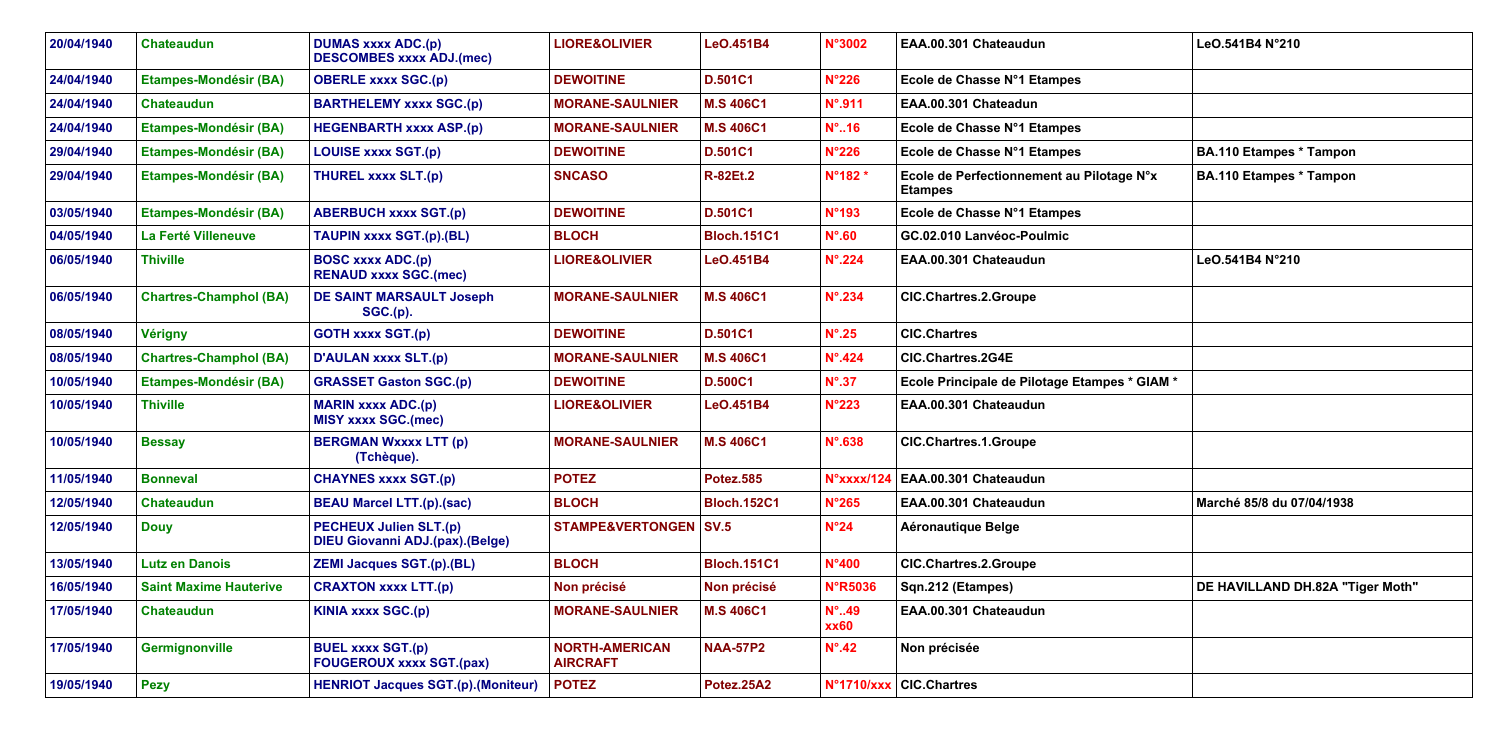|                   | LeO.541B4 N°210                  |
|-------------------|----------------------------------|
|                   |                                  |
|                   |                                  |
|                   | <b>BA.110 Etampes * Tampon</b>   |
| $N^{\circ}$ x     | <b>BA.110 Etampes * Tampon</b>   |
|                   |                                  |
|                   | LeO.541B4 N°210                  |
|                   |                                  |
|                   |                                  |
| GIAM <sup>*</sup> |                                  |
|                   |                                  |
|                   |                                  |
|                   |                                  |
|                   | Marché 85/8 du 07/04/1938        |
|                   |                                  |
|                   | DE HAVILLAND DH.82A "Tiger Moth" |
|                   |                                  |
|                   |                                  |
|                   |                                  |

| 20/04/1940 | <b>Chateaudun</b>             | <b>DUMAS xxxx ADC.(p)</b><br><b>DESCOMBES xxxx ADJ.(mec)</b>            | <b>LIORE&amp;OLIVIER</b>                 | LeO.451B4          | <b>N°3002</b>                 | EAA.00.301 Chateaudun                                       | LeO.541B4 N°210                  |
|------------|-------------------------------|-------------------------------------------------------------------------|------------------------------------------|--------------------|-------------------------------|-------------------------------------------------------------|----------------------------------|
| 24/04/1940 | <b>Etampes-Mondésir (BA)</b>  | <b>OBERLE xxxx SGC.(p)</b>                                              | <b>DEWOITINE</b>                         | <b>D.501C1</b>     | $N^{\circ}226$                | Ecole de Chasse N°1 Etampes                                 |                                  |
| 24/04/1940 | <b>Chateaudun</b>             | <b>BARTHELEMY xxxx SGC.(p)</b>                                          | <b>MORANE-SAULNIER</b>                   | <b>M.S 406C1</b>   | $N^{\circ}$ .911              | EAA.00.301 Chateadun                                        |                                  |
| 24/04/1940 | <b>Etampes-Mondésir (BA)</b>  | <b>HEGENBARTH xxxx ASP.(p)</b>                                          | <b>MORANE-SAULNIER</b>                   | <b>M.S 406C1</b>   | $N^{\circ}$ 16                | Ecole de Chasse N°1 Etampes                                 |                                  |
| 29/04/1940 | <b>Etampes-Mondésir (BA)</b>  | <b>LOUISE xxxx SGT.(p)</b>                                              | <b>DEWOITINE</b>                         | <b>D.501C1</b>     | <b>N°226</b>                  | Ecole de Chasse N°1 Etampes                                 | <b>BA.110 Etampes * Tampon</b>   |
| 29/04/1940 | <b>Etampes-Mondésir (BA)</b>  | <b>THUREL xxxx SLT.(p)</b>                                              | <b>SNCASO</b>                            | <b>R-82Et.2</b>    | N°182*                        | Ecole de Perfectionnement au Pilotage N°x<br><b>Etampes</b> | <b>BA.110 Etampes * Tampon</b>   |
| 03/05/1940 | <b>Etampes-Mondésir (BA)</b>  | <b>ABERBUCH xxxx SGT.(p)</b>                                            | <b>DEWOITINE</b>                         | <b>D.501C1</b>     | <b>N°193</b>                  | Ecole de Chasse N°1 Etampes                                 |                                  |
| 04/05/1940 | La Ferté Villeneuve           | TAUPIN xxxx SGT.(p).(BL)                                                | <b>BLOCH</b>                             | <b>Bloch.151C1</b> | $N^{\circ}$ .60               | GC.02.010 Lanvéoc-Poulmic                                   |                                  |
| 06/05/1940 | <b>Thiville</b>               | <b>BOSC xxxx ADC.(p)</b><br><b>RENAUD xxxx SGC.(mec)</b>                | <b>LIORE&amp;OLIVIER</b>                 | LeO.451B4          | $N^{\circ}$ .224              | EAA.00.301 Chateaudun                                       | LeO.541B4 N°210                  |
| 06/05/1940 | <b>Chartres-Champhol (BA)</b> | <b>DE SAINT MARSAULT Joseph</b><br>SGC.(p).                             | <b>MORANE-SAULNIER</b>                   | <b>M.S 406C1</b>   | $N^{\circ}$ .234              | <b>CIC.Chartres.2.Groupe</b>                                |                                  |
| 08/05/1940 | <b>Vérigny</b>                | <b>GOTH xxxx SGT.(p)</b>                                                | <b>DEWOITINE</b>                         | <b>D.501C1</b>     | $N^{\circ}$ .25               | <b>CIC.Chartres</b>                                         |                                  |
| 08/05/1940 | <b>Chartres-Champhol (BA)</b> | <b>D'AULAN xxxx SLT.(p)</b>                                             | <b>MORANE-SAULNIER</b>                   | <b>M.S 406C1</b>   | $N^{\circ}$ .424              | <b>CIC.Chartres.2G4E</b>                                    |                                  |
| 10/05/1940 | <b>Etampes-Mondésir (BA)</b>  | <b>GRASSET Gaston SGC.(p)</b>                                           | <b>DEWOITINE</b>                         | <b>D.500C1</b>     | $N^{\circ}$ .37               | Ecole Principale de Pilotage Etampes * GIAM *               |                                  |
| 10/05/1940 | <b>Thiville</b>               | <b>MARIN xxxx ADC.(p)</b><br><b>MISY xxxx SGC.(mec)</b>                 | <b>LIORE&amp;OLIVIER</b>                 | LeO.451B4          | <b>N°223</b>                  | EAA.00.301 Chateaudun                                       |                                  |
| 10/05/1940 | <b>Bessay</b>                 | <b>BERGMAN Wxxxx LTT (p)</b><br>(Tchèque).                              | <b>MORANE-SAULNIER</b>                   | <b>M.S 406C1</b>   | $N^{\circ}$ .638              | <b>CIC.Chartres.1.Groupe</b>                                |                                  |
| 11/05/1940 | <b>Bonneval</b>               | <b>CHAYNES xxxx SGT.(p)</b>                                             | <b>POTEZ</b>                             | <b>Potez.585</b>   | N°xxxx/124                    | EAA.00.301 Chateaudun                                       |                                  |
| 12/05/1940 | <b>Chateaudun</b>             | <b>BEAU Marcel LTT.(p).(sac)</b>                                        | <b>BLOCH</b>                             | <b>Bloch.152C1</b> | <b>N°265</b>                  | EAA.00.301 Chateaudun                                       | Marché 85/8 du 07/04/1938        |
| 12/05/1940 | <b>Douy</b>                   | <b>PECHEUX Julien SLT.(p)</b><br><b>DIEU Giovanni ADJ.(pax).(Belge)</b> | <b>STAMPE&amp;VERTONGEN   SV.5</b>       |                    | $N^{\circ}24$                 | <b>Aéronautique Belge</b>                                   |                                  |
| 13/05/1940 | Lutz en Danois                | <b>ZEMI Jacques SGT.(p).(BL)</b>                                        | <b>BLOCH</b>                             | <b>Bloch.151C1</b> | N°400                         | <b>CIC.Chartres.2.Groupe</b>                                |                                  |
| 16/05/1940 | <b>Saint Maxime Hauterive</b> | <b>CRAXTON xxxx LTT.(p)</b>                                             | Non précisé                              | Non précisé        | <b>N°R5036</b>                | Sqn.212 (Etampes)                                           | DE HAVILLAND DH.82A "Tiger Moth" |
| 17/05/1940 | <b>Chateaudun</b>             | <b>KINIA xxxx SGC.(p)</b>                                               | <b>MORANE-SAULNIER</b>                   | <b>M.S 406C1</b>   | $N^{\circ}$ 49<br><b>xx60</b> | EAA.00.301 Chateaudun                                       |                                  |
| 17/05/1940 | Germignonville                | <b>BUEL xxxx SGT.(p)</b><br><b>FOUGEROUX xxxx SGT.(pax)</b>             | <b>NORTH-AMERICAN</b><br><b>AIRCRAFT</b> | <b>NAA-57P2</b>    | $N^{\circ}$ .42               | Non précisée                                                |                                  |
| 19/05/1940 | <b>Pezy</b>                   | <b>HENRIOT Jacques SGT.(p).(Moniteur)</b>                               | <b>POTEZ</b>                             | Potez.25A2         | <b>N°1710/xxx</b>             | <b>CIC.Chartres</b>                                         |                                  |
|            |                               |                                                                         |                                          |                    |                               |                                                             |                                  |